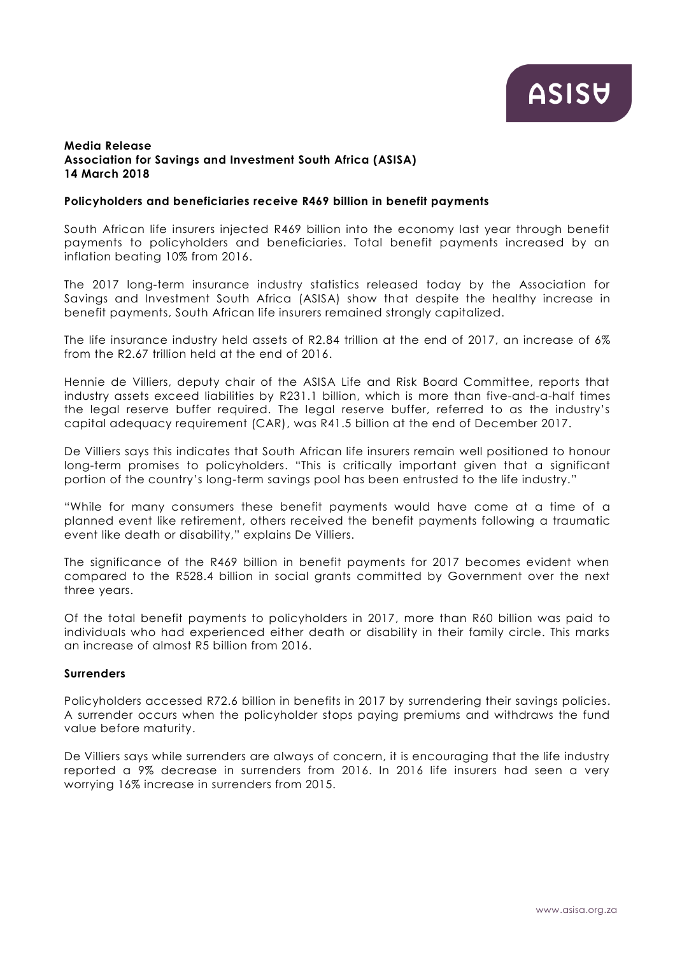## **Media Release Association for Savings and Investment South Africa (ASISA) 14 March 2018**

## **Policyholders and beneficiaries receive R469 billion in benefit payments**

South African life insurers injected R469 billion into the economy last year through benefit payments to policyholders and beneficiaries. Total benefit payments increased by an inflation beating 10% from 2016.

The 2017 long-term insurance industry statistics released today by the Association for Savings and Investment South Africa (ASISA) show that despite the healthy increase in benefit payments, South African life insurers remained strongly capitalized.

The life insurance industry held assets of R2.84 trillion at the end of 2017, an increase of 6% from the R2.67 trillion held at the end of 2016.

Hennie de Villiers, deputy chair of the ASISA Life and Risk Board Committee, reports that industry assets exceed liabilities by R231.1 billion, which is more than five-and-a-half times the legal reserve buffer required. The legal reserve buffer, referred to as the industry's capital adequacy requirement (CAR), was R41.5 billion at the end of December 2017.

De Villiers says this indicates that South African life insurers remain well positioned to honour long-term promises to policyholders. "This is critically important given that a significant portion of the country's long-term savings pool has been entrusted to the life industry."

"While for many consumers these benefit payments would have come at a time of a planned event like retirement, others received the benefit payments following a traumatic event like death or disability," explains De Villiers.

The significance of the R469 billion in benefit payments for 2017 becomes evident when compared to the R528.4 billion in social grants committed by Government over the next three years.

Of the total benefit payments to policyholders in 2017, more than R60 billion was paid to individuals who had experienced either death or disability in their family circle. This marks an increase of almost R5 billion from 2016.

### **Surrenders**

Policyholders accessed R72.6 billion in benefits in 2017 by surrendering their savings policies. A surrender occurs when the policyholder stops paying premiums and withdraws the fund value before maturity.

De Villiers says while surrenders are always of concern, it is encouraging that the life industry reported a 9% decrease in surrenders from 2016. In 2016 life insurers had seen a very worrying 16% increase in surrenders from 2015.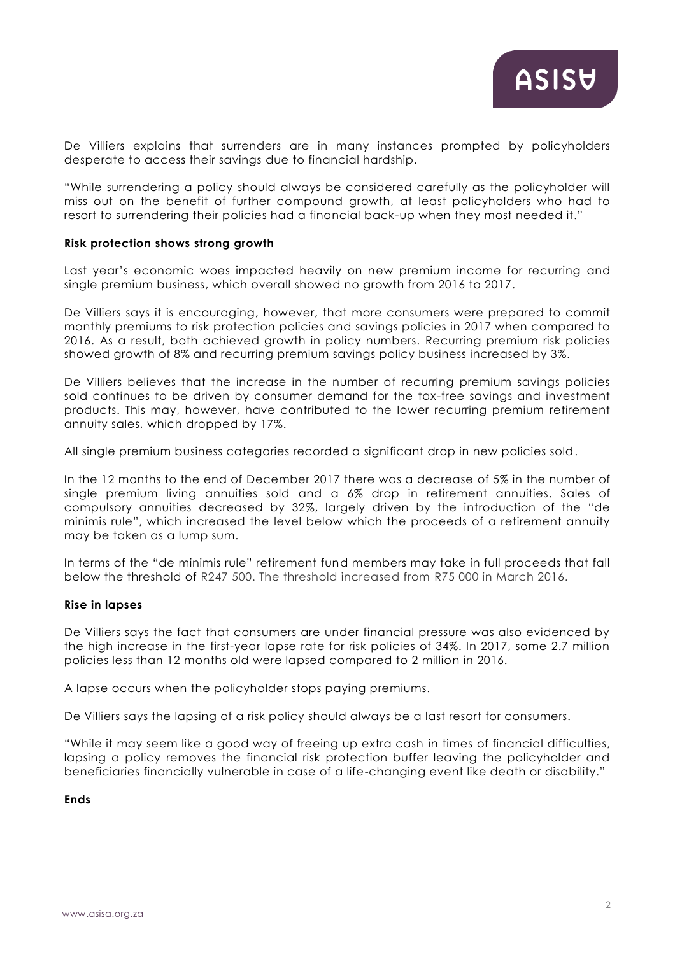De Villiers explains that surrenders are in many instances prompted by policyholders desperate to access their savings due to financial hardship.

"While surrendering a policy should always be considered carefully as the policyholder will miss out on the benefit of further compound growth, at least policyholders who had to resort to surrendering their policies had a financial back-up when they most needed it."

### **Risk protection shows strong growth**

Last year's economic woes impacted heavily on new premium income for recurring and single premium business, which overall showed no growth from 2016 to 2017.

De Villiers says it is encouraging, however, that more consumers were prepared to commit monthly premiums to risk protection policies and savings policies in 2017 when compared to 2016. As a result, both achieved growth in policy numbers. Recurring premium risk policies showed growth of 8% and recurring premium savings policy business increased by 3%.

De Villiers believes that the increase in the number of recurring premium savings policies sold continues to be driven by consumer demand for the tax-free savings and investment products. This may, however, have contributed to the lower recurring premium retirement annuity sales, which dropped by 17%.

All single premium business categories recorded a significant drop in new policies sold.

In the 12 months to the end of December 2017 there was a decrease of 5% in the number of single premium living annuities sold and a 6% drop in retirement annuities. Sales of compulsory annuities decreased by 32%, largely driven by the introduction of the "de minimis rule", which increased the level below which the proceeds of a retirement annuity may be taken as a lump sum.

In terms of the "de minimis rule" retirement fund members may take in full proceeds that fall below the threshold of R247 500. The threshold increased from R75 000 in March 2016.

#### **Rise in lapses**

De Villiers says the fact that consumers are under financial pressure was also evidenced by the high increase in the first-year lapse rate for risk policies of 34%. In 2017, some 2.7 million policies less than 12 months old were lapsed compared to 2 million in 2016.

A lapse occurs when the policyholder stops paying premiums.

De Villiers says the lapsing of a risk policy should always be a last resort for consumers.

"While it may seem like a good way of freeing up extra cash in times of financial difficulties, lapsing a policy removes the financial risk protection buffer leaving the policyholder and beneficiaries financially vulnerable in case of a life-changing event like death or disability."

## **Ends**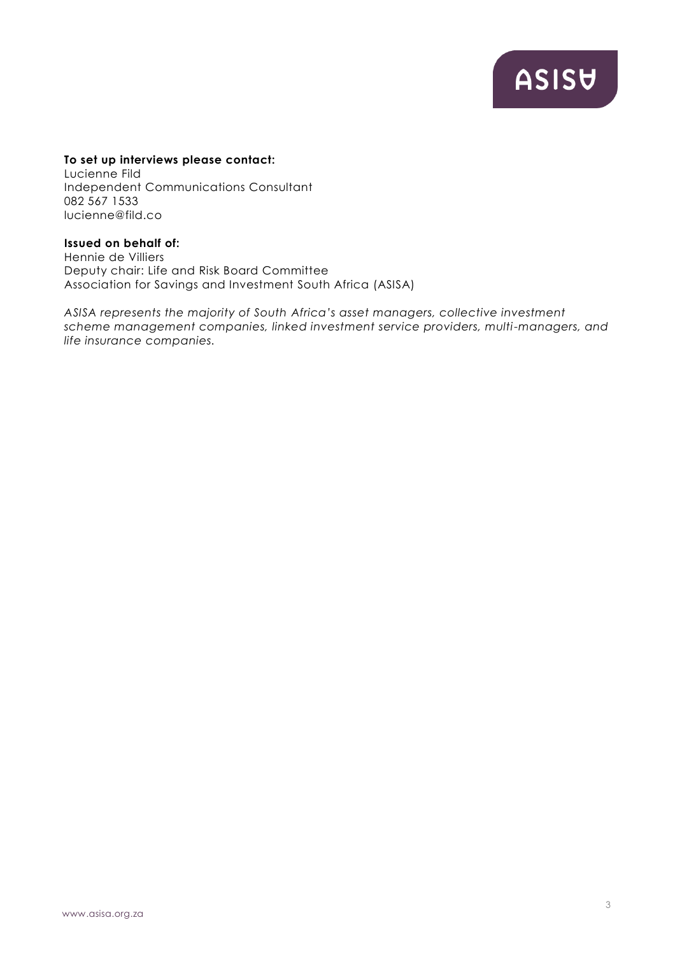ASISU

## **To set up interviews please contact:**

Lucienne Fild Independent Communications Consultant 082 567 1533 lucienne@fild.co

# **Issued on behalf of:**

Hennie de Villiers Deputy chair: Life and Risk Board Committee Association for Savings and Investment South Africa (ASISA)

*ASISA represents the majority of South Africa's asset managers, collective investment scheme management companies, linked investment service providers, multi-managers, and life insurance companies.*